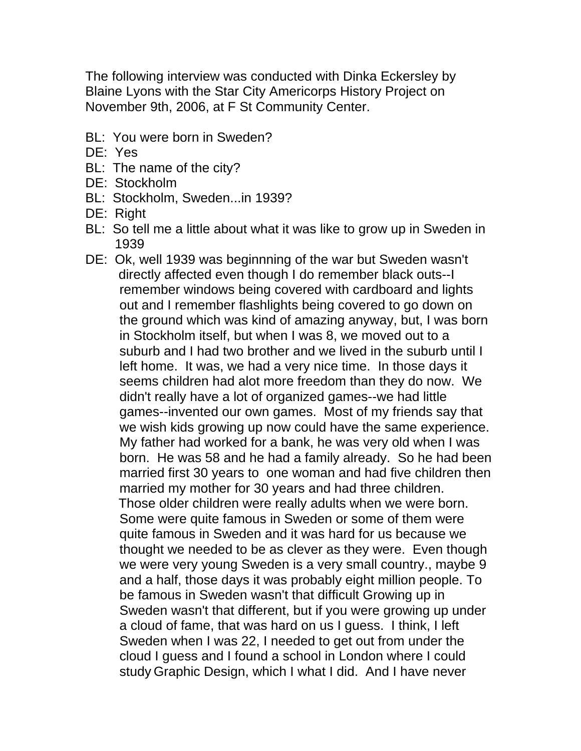The following interview was conducted with Dinka Eckersley by Blaine Lyons with the Star City Americorps History Project on November 9th, 2006, at F St Community Center.

- BL: You were born in Sweden?
- DE: Yes
- BL: The name of the city?
- DE: Stockholm
- BL: Stockholm, Sweden...in 1939?
- DE: Right
- BL: So tell me a little about what it was like to grow up in Sweden in 1939
- DE: Ok, well 1939 was beginnning of the war but Sweden wasn't directly affected even though I do remember black outs--I remember windows being covered with cardboard and lights out and I remember flashlights being covered to go down on the ground which was kind of amazing anyway, but, I was born in Stockholm itself, but when I was 8, we moved out to a suburb and I had two brother and we lived in the suburb until I left home. It was, we had a very nice time. In those days it seems children had alot more freedom than they do now. We didn't really have a lot of organized games--we had little games--invented our own games. Most of my friends say that we wish kids growing up now could have the same experience. My father had worked for a bank, he was very old when I was born. He was 58 and he had a family already. So he had been married first 30 years to one woman and had five children then married my mother for 30 years and had three children. Those older children were really adults when we were born. Some were quite famous in Sweden or some of them were quite famous in Sweden and it was hard for us because we thought we needed to be as clever as they were. Even though we were very young Sweden is a very small country., maybe 9 and a half, those days it was probably eight million people. To be famous in Sweden wasn't that difficult Growing up in Sweden wasn't that different, but if you were growing up under a cloud of fame, that was hard on us I guess. I think, I left Sweden when I was 22, I needed to get out from under the cloud I guess and I found a school in London where I could study Graphic Design, which I what I did. And I have never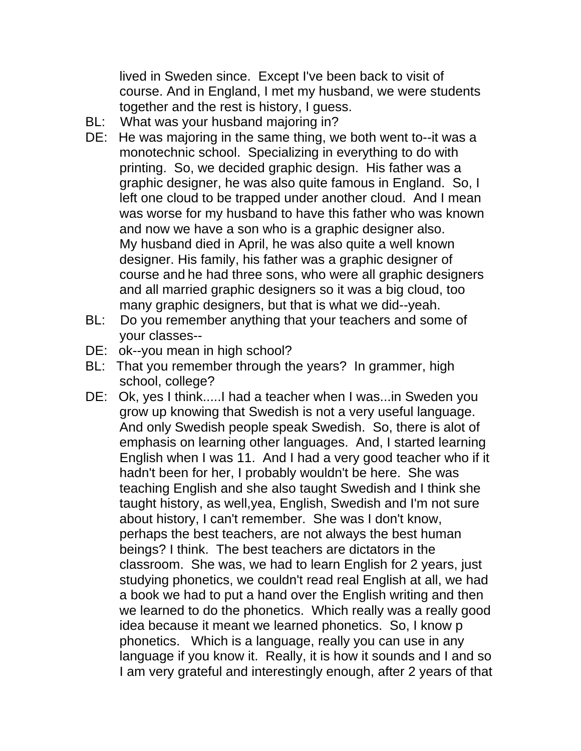lived in Sweden since. Except I've been back to visit of course. And in England, I met my husband, we were students together and the rest is history, I guess.

- BL: What was your husband majoring in?
- DE: He was majoring in the same thing, we both went to--it was a monotechnic school. Specializing in everything to do with printing. So, we decided graphic design. His father was a graphic designer, he was also quite famous in England. So, I left one cloud to be trapped under another cloud. And I mean was worse for my husband to have this father who was known and now we have a son who is a graphic designer also. My husband died in April, he was also quite a well known designer. His family, his father was a graphic designer of course and he had three sons, who were all graphic designers and all married graphic designers so it was a big cloud, too many graphic designers, but that is what we did--yeah.
- BL: Do you remember anything that your teachers and some of your classes--
- DE: ok--you mean in high school?
- BL: That you remember through the years? In grammer, high school, college?
- DE: Ok, yes I think.....I had a teacher when I was...in Sweden you grow up knowing that Swedish is not a very useful language. And only Swedish people speak Swedish. So, there is alot of emphasis on learning other languages. And, I started learning English when I was 11. And I had a very good teacher who if it hadn't been for her, I probably wouldn't be here. She was teaching English and she also taught Swedish and I think she taught history, as well,yea, English, Swedish and I'm not sure about history, I can't remember. She was I don't know, perhaps the best teachers, are not always the best human beings? I think. The best teachers are dictators in the classroom. She was, we had to learn English for 2 years, just studying phonetics, we couldn't read real English at all, we had a book we had to put a hand over the English writing and then we learned to do the phonetics. Which really was a really good idea because it meant we learned phonetics. So, I know p phonetics. Which is a language, really you can use in any language if you know it. Really, it is how it sounds and I and so I am very grateful and interestingly enough, after 2 years of that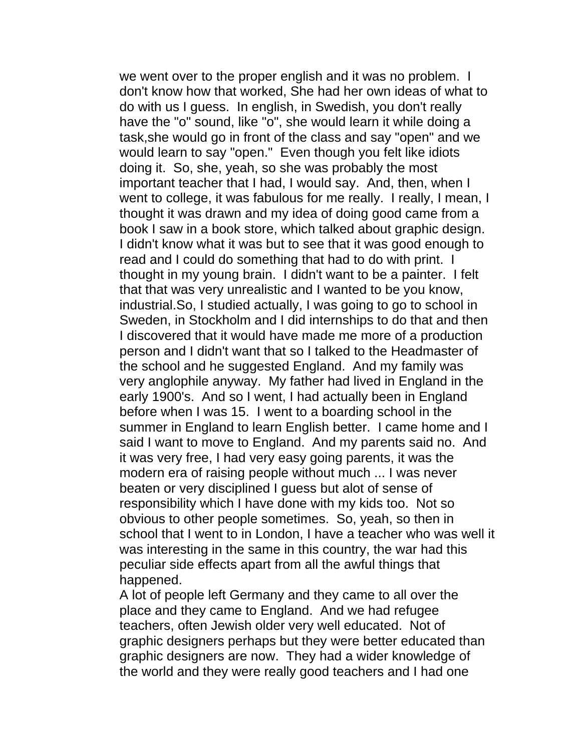we went over to the proper english and it was no problem. I don't know how that worked, She had her own ideas of what to do with us I guess. In english, in Swedish, you don't really have the "o" sound, like "o", she would learn it while doing a task,she would go in front of the class and say "open" and we would learn to say "open." Even though you felt like idiots doing it. So, she, yeah, so she was probably the most important teacher that I had, I would say. And, then, when I went to college, it was fabulous for me really. I really, I mean, I thought it was drawn and my idea of doing good came from a book I saw in a book store, which talked about graphic design. I didn't know what it was but to see that it was good enough to read and I could do something that had to do with print. I thought in my young brain. I didn't want to be a painter. I felt that that was very unrealistic and I wanted to be you know, industrial.So, I studied actually, I was going to go to school in Sweden, in Stockholm and I did internships to do that and then I discovered that it would have made me more of a production person and I didn't want that so I talked to the Headmaster of the school and he suggested England. And my family was very anglophile anyway. My father had lived in England in the early 1900's. And so I went, I had actually been in England before when I was 15. I went to a boarding school in the summer in England to learn English better. I came home and I said I want to move to England. And my parents said no. And it was very free, I had very easy going parents, it was the modern era of raising people without much ... I was never beaten or very disciplined I guess but alot of sense of responsibility which I have done with my kids too. Not so obvious to other people sometimes. So, yeah, so then in school that I went to in London, I have a teacher who was well it was interesting in the same in this country, the war had this peculiar side effects apart from all the awful things that happened.

 A lot of people left Germany and they came to all over the place and they came to England. And we had refugee teachers, often Jewish older very well educated. Not of graphic designers perhaps but they were better educated than graphic designers are now. They had a wider knowledge of the world and they were really good teachers and I had one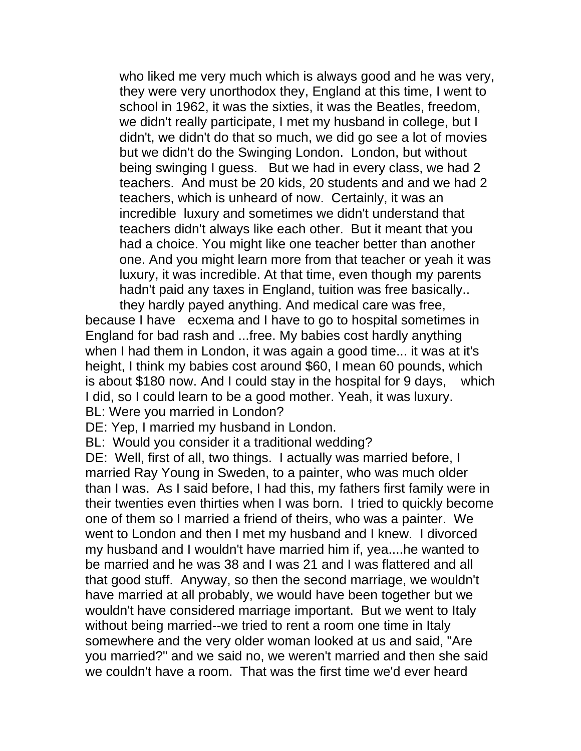who liked me very much which is always good and he was very, they were very unorthodox they, England at this time, I went to school in 1962, it was the sixties, it was the Beatles, freedom, we didn't really participate, I met my husband in college, but I didn't, we didn't do that so much, we did go see a lot of movies but we didn't do the Swinging London. London, but without being swinging I guess. But we had in every class, we had 2 teachers. And must be 20 kids, 20 students and and we had 2 teachers, which is unheard of now. Certainly, it was an incredible luxury and sometimes we didn't understand that teachers didn't always like each other. But it meant that you had a choice. You might like one teacher better than another one. And you might learn more from that teacher or yeah it was luxury, it was incredible. At that time, even though my parents hadn't paid any taxes in England, tuition was free basically.. they hardly payed anything. And medical care was free,

because I have ecxema and I have to go to hospital sometimes in England for bad rash and ...free. My babies cost hardly anything when I had them in London, it was again a good time... it was at it's height, I think my babies cost around \$60, I mean 60 pounds, which is about \$180 now. And I could stay in the hospital for 9 days, which I did, so I could learn to be a good mother. Yeah, it was luxury. BL: Were you married in London?

DE: Yep, I married my husband in London.

BL: Would you consider it a traditional wedding?

DE: Well, first of all, two things. I actually was married before, I married Ray Young in Sweden, to a painter, who was much older than I was. As I said before, I had this, my fathers first family were in their twenties even thirties when I was born. I tried to quickly become one of them so I married a friend of theirs, who was a painter. We went to London and then I met my husband and I knew. I divorced my husband and I wouldn't have married him if, yea....he wanted to be married and he was 38 and I was 21 and I was flattered and all that good stuff. Anyway, so then the second marriage, we wouldn't have married at all probably, we would have been together but we wouldn't have considered marriage important. But we went to Italy without being married--we tried to rent a room one time in Italy somewhere and the very older woman looked at us and said, "Are you married?" and we said no, we weren't married and then she said we couldn't have a room. That was the first time we'd ever heard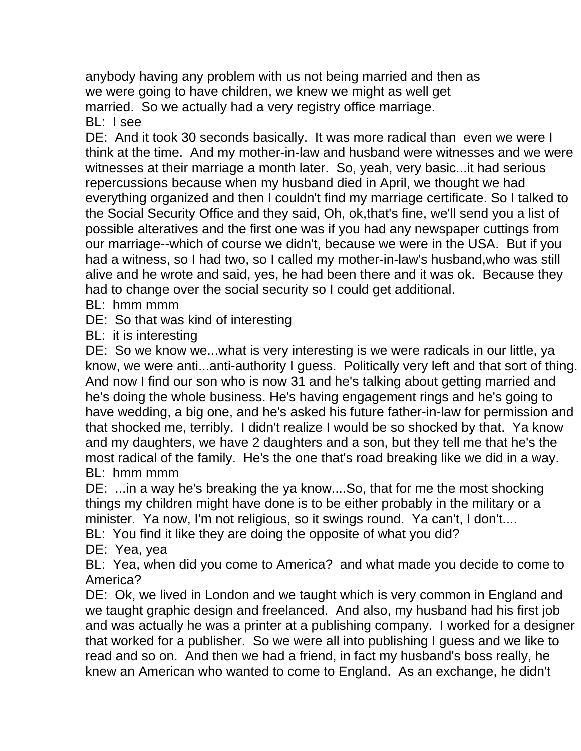anybody having any problem with us not being married and then as we were going to have children, we knew we might as well get married. So we actually had a very registry office marriage. BL: I see

DE: And it took 30 seconds basically. It was more radical than even we were I think at the time. And my mother-in-law and husband were witnesses and we were witnesses at their marriage a month later. So, yeah, very basic...it had serious repercussions because when my husband died in April, we thought we had everything organized and then I couldn't find my marriage certificate. So I talked to the Social Security Office and they said, Oh, ok,that's fine, we'll send you a list of possible alteratives and the first one was if you had any newspaper cuttings from our marriage--which of course we didn't, because we were in the USA. But if you had a witness, so I had two, so I called my mother-in-law's husband,who was still alive and he wrote and said, yes, he had been there and it was ok. Because they had to change over the social security so I could get additional.

BL: hmm mmm

DE: So that was kind of interesting

BL: it is interesting

DE: So we know we...what is very interesting is we were radicals in our little, ya know, we were anti...anti-authority I guess. Politically very left and that sort of thing. And now I find our son who is now 31 and he's talking about getting married and he's doing the whole business. He's having engagement rings and he's going to have wedding, a big one, and he's asked his future father-in-law for permission and that shocked me, terribly. I didn't realize I would be so shocked by that. Ya know and my daughters, we have 2 daughters and a son, but they tell me that he's the most radical of the family. He's the one that's road breaking like we did in a way. BL: hmm mmm

DE: ...in a way he's breaking the ya know....So, that for me the most shocking things my children might have done is to be either probably in the military or a minister. Ya now, I'm not religious, so it swings round. Ya can't, I don't....

BL: You find it like they are doing the opposite of what you did?

DE: Yea, yea

BL: Yea, when did you come to America? and what made you decide to come to America?

DE: Ok, we lived in London and we taught which is very common in England and we taught graphic design and freelanced. And also, my husband had his first job and was actually he was a printer at a publishing company. I worked for a designer that worked for a publisher. So we were all into publishing I guess and we like to read and so on. And then we had a friend, in fact my husband's boss really, he knew an American who wanted to come to England. As an exchange, he didn't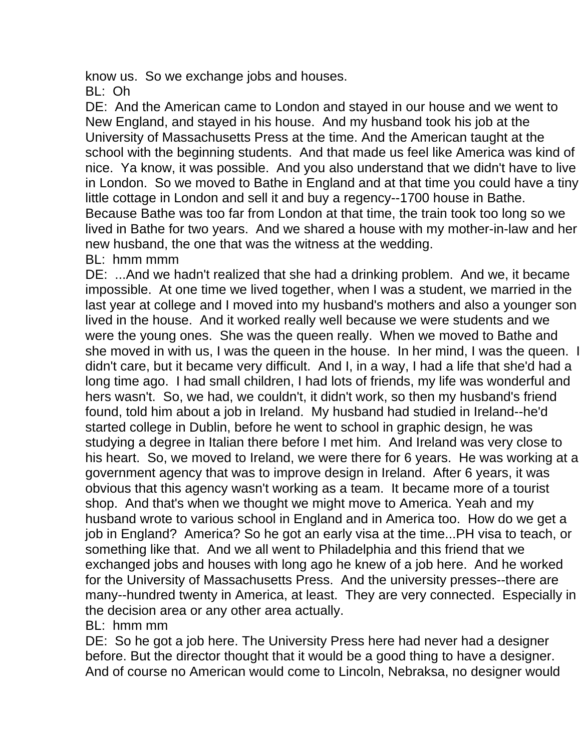know us. So we exchange jobs and houses.

BL: Oh

DE: And the American came to London and stayed in our house and we went to New England, and stayed in his house. And my husband took his job at the University of Massachusetts Press at the time. And the American taught at the school with the beginning students. And that made us feel like America was kind of nice. Ya know, it was possible. And you also understand that we didn't have to live in London. So we moved to Bathe in England and at that time you could have a tiny little cottage in London and sell it and buy a regency--1700 house in Bathe. Because Bathe was too far from London at that time, the train took too long so we lived in Bathe for two years. And we shared a house with my mother-in-law and her new husband, the one that was the witness at the wedding.

BL: hmm mmm

DE: ...And we hadn't realized that she had a drinking problem. And we, it became impossible. At one time we lived together, when I was a student, we married in the last year at college and I moved into my husband's mothers and also a younger son lived in the house. And it worked really well because we were students and we were the young ones. She was the queen really. When we moved to Bathe and she moved in with us, I was the queen in the house. In her mind, I was the queen. I didn't care, but it became very difficult. And I, in a way, I had a life that she'd had a long time ago. I had small children, I had lots of friends, my life was wonderful and hers wasn't. So, we had, we couldn't, it didn't work, so then my husband's friend found, told him about a job in Ireland. My husband had studied in Ireland--he'd started college in Dublin, before he went to school in graphic design, he was studying a degree in Italian there before I met him. And Ireland was very close to his heart. So, we moved to Ireland, we were there for 6 years. He was working at a government agency that was to improve design in Ireland. After 6 years, it was obvious that this agency wasn't working as a team. It became more of a tourist shop. And that's when we thought we might move to America. Yeah and my husband wrote to various school in England and in America too. How do we get a job in England? America? So he got an early visa at the time...PH visa to teach, or something like that. And we all went to Philadelphia and this friend that we exchanged jobs and houses with long ago he knew of a job here. And he worked for the University of Massachusetts Press. And the university presses--there are many--hundred twenty in America, at least. They are very connected. Especially in the decision area or any other area actually.

BL: hmm mm

DE: So he got a job here. The University Press here had never had a designer before. But the director thought that it would be a good thing to have a designer. And of course no American would come to Lincoln, Nebraksa, no designer would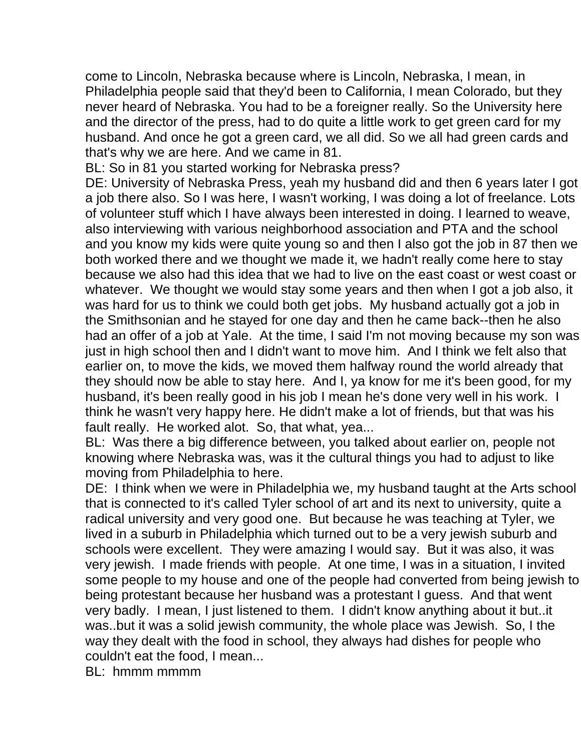come to Lincoln, Nebraska because where is Lincoln, Nebraska, I mean, in Philadelphia people said that they'd been to California, I mean Colorado, but they never heard of Nebraska. You had to be a foreigner really. So the University here and the director of the press, had to do quite a little work to get green card for my husband. And once he got a green card, we all did. So we all had green cards and that's why we are here. And we came in 81.

BL: So in 81 you started working for Nebraska press?

DE: University of Nebraska Press, yeah my husband did and then 6 years later I got a job there also. So I was here, I wasn't working, I was doing a lot of freelance. Lots of volunteer stuff which I have always been interested in doing. I learned to weave, also interviewing with various neighborhood association and PTA and the school and you know my kids were quite young so and then I also got the job in 87 then we both worked there and we thought we made it, we hadn't really come here to stay because we also had this idea that we had to live on the east coast or west coast or whatever. We thought we would stay some years and then when I got a job also, it was hard for us to think we could both get jobs. My husband actually got a job in the Smithsonian and he stayed for one day and then he came back--then he also had an offer of a job at Yale. At the time, I said I'm not moving because my son was just in high school then and I didn't want to move him. And I think we felt also that earlier on, to move the kids, we moved them halfway round the world already that they should now be able to stay here. And I, ya know for me it's been good, for my husband, it's been really good in his job I mean he's done very well in his work. I think he wasn't very happy here. He didn't make a lot of friends, but that was his fault really. He worked alot. So, that what, yea...

BL: Was there a big difference between, you talked about earlier on, people not knowing where Nebraska was, was it the cultural things you had to adjust to like moving from Philadelphia to here.

DE: I think when we were in Philadelphia we, my husband taught at the Arts school that is connected to it's called Tyler school of art and its next to university, quite a radical university and very good one. But because he was teaching at Tyler, we lived in a suburb in Philadelphia which turned out to be a very jewish suburb and schools were excellent. They were amazing I would say. But it was also, it was very jewish. I made friends with people. At one time, I was in a situation, I invited some people to my house and one of the people had converted from being jewish to being protestant because her husband was a protestant I guess. And that went very badly. I mean, I just listened to them. I didn't know anything about it but..it was..but it was a solid jewish community, the whole place was Jewish. So, I the way they dealt with the food in school, they always had dishes for people who couldn't eat the food, I mean...

BL: hmmm mmmm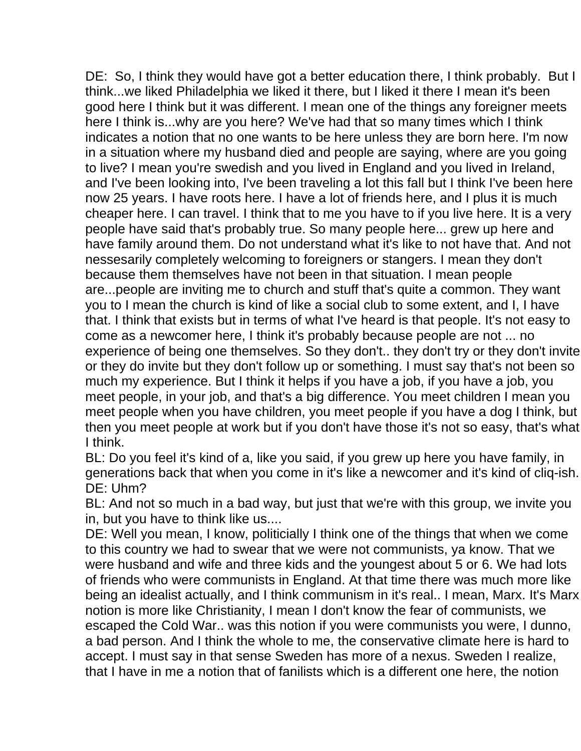DE: So, I think they would have got a better education there, I think probably. But I think...we liked Philadelphia we liked it there, but I liked it there I mean it's been good here I think but it was different. I mean one of the things any foreigner meets here I think is...why are you here? We've had that so many times which I think indicates a notion that no one wants to be here unless they are born here. I'm now in a situation where my husband died and people are saying, where are you going to live? I mean you're swedish and you lived in England and you lived in Ireland, and I've been looking into, I've been traveling a lot this fall but I think I've been here now 25 years. I have roots here. I have a lot of friends here, and I plus it is much cheaper here. I can travel. I think that to me you have to if you live here. It is a very people have said that's probably true. So many people here... grew up here and have family around them. Do not understand what it's like to not have that. And not nessesarily completely welcoming to foreigners or stangers. I mean they don't because them themselves have not been in that situation. I mean people are...people are inviting me to church and stuff that's quite a common. They want you to I mean the church is kind of like a social club to some extent, and I, I have that. I think that exists but in terms of what I've heard is that people. It's not easy to come as a newcomer here, I think it's probably because people are not ... no experience of being one themselves. So they don't.. they don't try or they don't invite or they do invite but they don't follow up or something. I must say that's not been so much my experience. But I think it helps if you have a job, if you have a job, you meet people, in your job, and that's a big difference. You meet children I mean you meet people when you have children, you meet people if you have a dog I think, but then you meet people at work but if you don't have those it's not so easy, that's what I think.

BL: Do you feel it's kind of a, like you said, if you grew up here you have family, in generations back that when you come in it's like a newcomer and it's kind of cliq-ish. DE: Uhm?

BL: And not so much in a bad way, but just that we're with this group, we invite you in, but you have to think like us....

DE: Well you mean, I know, politicially I think one of the things that when we come to this country we had to swear that we were not communists, ya know. That we were husband and wife and three kids and the youngest about 5 or 6. We had lots of friends who were communists in England. At that time there was much more like being an idealist actually, and I think communism in it's real.. I mean, Marx. It's Marx notion is more like Christianity, I mean I don't know the fear of communists, we escaped the Cold War.. was this notion if you were communists you were, I dunno, a bad person. And I think the whole to me, the conservative climate here is hard to accept. I must say in that sense Sweden has more of a nexus. Sweden I realize, that I have in me a notion that of fanilists which is a different one here, the notion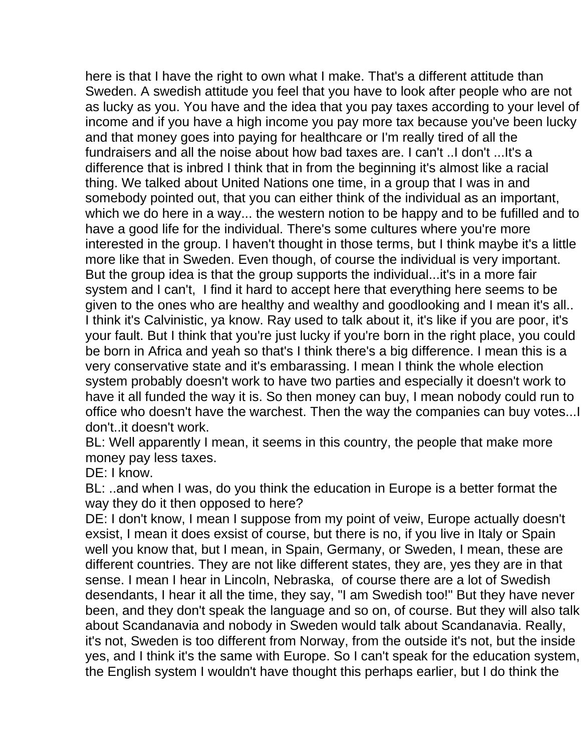here is that I have the right to own what I make. That's a different attitude than Sweden. A swedish attitude you feel that you have to look after people who are not as lucky as you. You have and the idea that you pay taxes according to your level of income and if you have a high income you pay more tax because you've been lucky and that money goes into paying for healthcare or I'm really tired of all the fundraisers and all the noise about how bad taxes are. I can't ..I don't ...It's a difference that is inbred I think that in from the beginning it's almost like a racial thing. We talked about United Nations one time, in a group that I was in and somebody pointed out, that you can either think of the individual as an important, which we do here in a way... the western notion to be happy and to be fufilled and to have a good life for the individual. There's some cultures where you're more interested in the group. I haven't thought in those terms, but I think maybe it's a little more like that in Sweden. Even though, of course the individual is very important. But the group idea is that the group supports the individual...it's in a more fair system and I can't, I find it hard to accept here that everything here seems to be given to the ones who are healthy and wealthy and goodlooking and I mean it's all.. I think it's Calvinistic, ya know. Ray used to talk about it, it's like if you are poor, it's your fault. But I think that you're just lucky if you're born in the right place, you could be born in Africa and yeah so that's I think there's a big difference. I mean this is a very conservative state and it's embarassing. I mean I think the whole election system probably doesn't work to have two parties and especially it doesn't work to have it all funded the way it is. So then money can buy, I mean nobody could run to office who doesn't have the warchest. Then the way the companies can buy votes...I don't..it doesn't work.

BL: Well apparently I mean, it seems in this country, the people that make more money pay less taxes.

DE: I know.

BL: ..and when I was, do you think the education in Europe is a better format the way they do it then opposed to here?

DE: I don't know, I mean I suppose from my point of veiw, Europe actually doesn't exsist, I mean it does exsist of course, but there is no, if you live in Italy or Spain well you know that, but I mean, in Spain, Germany, or Sweden, I mean, these are different countries. They are not like different states, they are, yes they are in that sense. I mean I hear in Lincoln, Nebraska, of course there are a lot of Swedish desendants, I hear it all the time, they say, "I am Swedish too!" But they have never been, and they don't speak the language and so on, of course. But they will also talk about Scandanavia and nobody in Sweden would talk about Scandanavia. Really, it's not, Sweden is too different from Norway, from the outside it's not, but the inside yes, and I think it's the same with Europe. So I can't speak for the education system, the English system I wouldn't have thought this perhaps earlier, but I do think the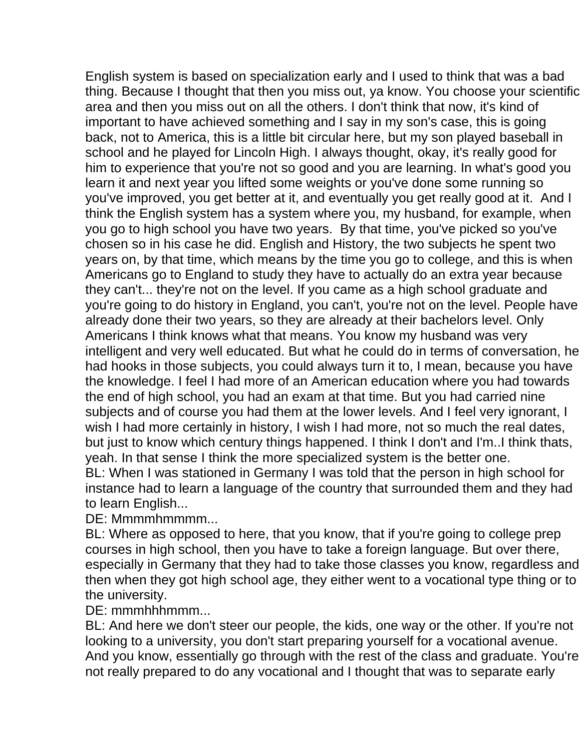English system is based on specialization early and I used to think that was a bad thing. Because I thought that then you miss out, ya know. You choose your scientific area and then you miss out on all the others. I don't think that now, it's kind of important to have achieved something and I say in my son's case, this is going back, not to America, this is a little bit circular here, but my son played baseball in school and he played for Lincoln High. I always thought, okay, it's really good for him to experience that you're not so good and you are learning. In what's good you learn it and next year you lifted some weights or you've done some running so you've improved, you get better at it, and eventually you get really good at it. And I think the English system has a system where you, my husband, for example, when you go to high school you have two years. By that time, you've picked so you've chosen so in his case he did. English and History, the two subjects he spent two years on, by that time, which means by the time you go to college, and this is when Americans go to England to study they have to actually do an extra year because they can't... they're not on the level. If you came as a high school graduate and you're going to do history in England, you can't, you're not on the level. People have already done their two years, so they are already at their bachelors level. Only Americans I think knows what that means. You know my husband was very intelligent and very well educated. But what he could do in terms of conversation, he had hooks in those subjects, you could always turn it to, I mean, because you have the knowledge. I feel I had more of an American education where you had towards the end of high school, you had an exam at that time. But you had carried nine subjects and of course you had them at the lower levels. And I feel very ignorant, I wish I had more certainly in history, I wish I had more, not so much the real dates, but just to know which century things happened. I think I don't and I'm..I think thats, yeah. In that sense I think the more specialized system is the better one. BL: When I was stationed in Germany I was told that the person in high school for instance had to learn a language of the country that surrounded them and they had to learn English...

DE: Mmmmhmmmm...

BL: Where as opposed to here, that you know, that if you're going to college prep courses in high school, then you have to take a foreign language. But over there, especially in Germany that they had to take those classes you know, regardless and then when they got high school age, they either went to a vocational type thing or to the university.

DE: mmmhhhmmm...

BL: And here we don't steer our people, the kids, one way or the other. If you're not looking to a university, you don't start preparing yourself for a vocational avenue. And you know, essentially go through with the rest of the class and graduate. You're not really prepared to do any vocational and I thought that was to separate early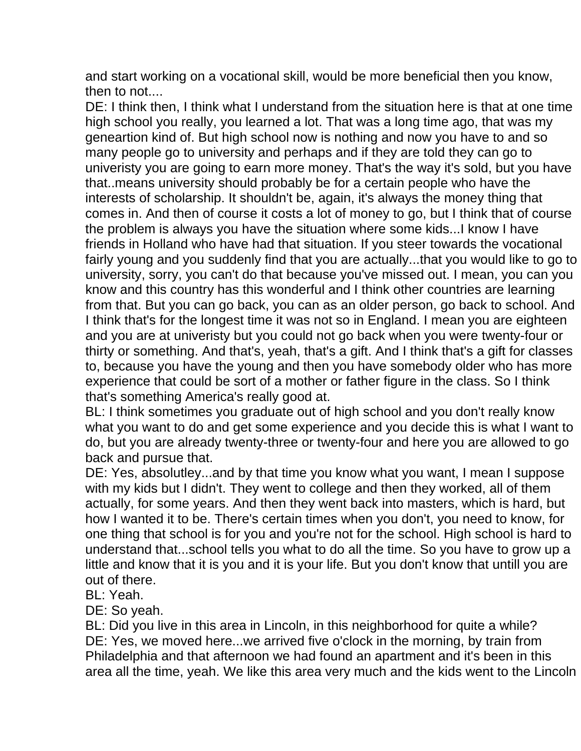and start working on a vocational skill, would be more beneficial then you know, then to not....

DE: I think then, I think what I understand from the situation here is that at one time high school you really, you learned a lot. That was a long time ago, that was my geneartion kind of. But high school now is nothing and now you have to and so many people go to university and perhaps and if they are told they can go to univeristy you are going to earn more money. That's the way it's sold, but you have that..means university should probably be for a certain people who have the interests of scholarship. It shouldn't be, again, it's always the money thing that comes in. And then of course it costs a lot of money to go, but I think that of course the problem is always you have the situation where some kids...I know I have friends in Holland who have had that situation. If you steer towards the vocational fairly young and you suddenly find that you are actually...that you would like to go to university, sorry, you can't do that because you've missed out. I mean, you can you know and this country has this wonderful and I think other countries are learning from that. But you can go back, you can as an older person, go back to school. And I think that's for the longest time it was not so in England. I mean you are eighteen and you are at univeristy but you could not go back when you were twenty-four or thirty or something. And that's, yeah, that's a gift. And I think that's a gift for classes to, because you have the young and then you have somebody older who has more experience that could be sort of a mother or father figure in the class. So I think that's something America's really good at.

BL: I think sometimes you graduate out of high school and you don't really know what you want to do and get some experience and you decide this is what I want to do, but you are already twenty-three or twenty-four and here you are allowed to go back and pursue that.

DE: Yes, absolutley...and by that time you know what you want, I mean I suppose with my kids but I didn't. They went to college and then they worked, all of them actually, for some years. And then they went back into masters, which is hard, but how I wanted it to be. There's certain times when you don't, you need to know, for one thing that school is for you and you're not for the school. High school is hard to understand that...school tells you what to do all the time. So you have to grow up a little and know that it is you and it is your life. But you don't know that untill you are out of there.

BL: Yeah.

DE: So yeah.

BL: Did you live in this area in Lincoln, in this neighborhood for quite a while? DE: Yes, we moved here...we arrived five o'clock in the morning, by train from Philadelphia and that afternoon we had found an apartment and it's been in this area all the time, yeah. We like this area very much and the kids went to the Lincoln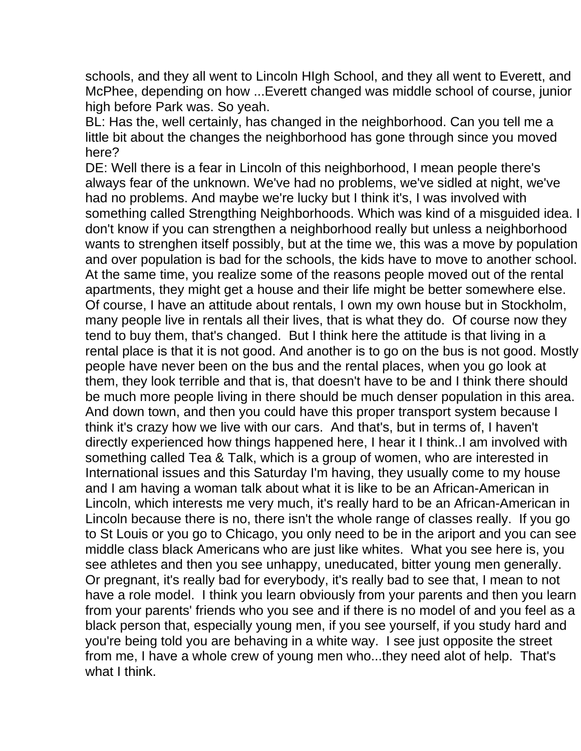schools, and they all went to Lincoln HIgh School, and they all went to Everett, and McPhee, depending on how ...Everett changed was middle school of course, junior high before Park was. So yeah.

BL: Has the, well certainly, has changed in the neighborhood. Can you tell me a little bit about the changes the neighborhood has gone through since you moved here?

DE: Well there is a fear in Lincoln of this neighborhood, I mean people there's always fear of the unknown. We've had no problems, we've sidled at night, we've had no problems. And maybe we're lucky but I think it's, I was involved with something called Strengthing Neighborhoods. Which was kind of a misguided idea. I don't know if you can strengthen a neighborhood really but unless a neighborhood wants to strenghen itself possibly, but at the time we, this was a move by population and over population is bad for the schools, the kids have to move to another school. At the same time, you realize some of the reasons people moved out of the rental apartments, they might get a house and their life might be better somewhere else. Of course, I have an attitude about rentals, I own my own house but in Stockholm, many people live in rentals all their lives, that is what they do. Of course now they tend to buy them, that's changed. But I think here the attitude is that living in a rental place is that it is not good. And another is to go on the bus is not good. Mostly people have never been on the bus and the rental places, when you go look at them, they look terrible and that is, that doesn't have to be and I think there should be much more people living in there should be much denser population in this area. And down town, and then you could have this proper transport system because I think it's crazy how we live with our cars. And that's, but in terms of, I haven't directly experienced how things happened here, I hear it I think..I am involved with something called Tea & Talk, which is a group of women, who are interested in International issues and this Saturday I'm having, they usually come to my house and I am having a woman talk about what it is like to be an African-American in Lincoln, which interests me very much, it's really hard to be an African-American in Lincoln because there is no, there isn't the whole range of classes really. If you go to St Louis or you go to Chicago, you only need to be in the ariport and you can see middle class black Americans who are just like whites. What you see here is, you see athletes and then you see unhappy, uneducated, bitter young men generally. Or pregnant, it's really bad for everybody, it's really bad to see that, I mean to not have a role model. I think you learn obviously from your parents and then you learn from your parents' friends who you see and if there is no model of and you feel as a black person that, especially young men, if you see yourself, if you study hard and you're being told you are behaving in a white way. I see just opposite the street from me, I have a whole crew of young men who...they need alot of help. That's what I think.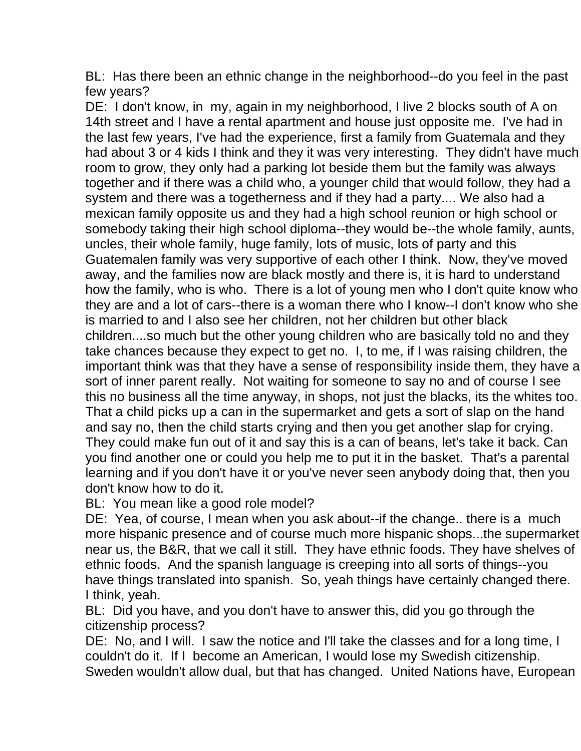BL: Has there been an ethnic change in the neighborhood--do you feel in the past few years?

DE: I don't know, in my, again in my neighborhood, I live 2 blocks south of A on 14th street and I have a rental apartment and house just opposite me. I've had in the last few years, I've had the experience, first a family from Guatemala and they had about 3 or 4 kids I think and they it was very interesting. They didn't have much room to grow, they only had a parking lot beside them but the family was always together and if there was a child who, a younger child that would follow, they had a system and there was a togetherness and if they had a party.... We also had a mexican family opposite us and they had a high school reunion or high school or somebody taking their high school diploma--they would be--the whole family, aunts, uncles, their whole family, huge family, lots of music, lots of party and this Guatemalen family was very supportive of each other I think. Now, they've moved away, and the families now are black mostly and there is, it is hard to understand how the family, who is who. There is a lot of young men who I don't quite know who they are and a lot of cars--there is a woman there who I know--I don't know who she is married to and I also see her children, not her children but other black children....so much but the other young children who are basically told no and they take chances because they expect to get no. I, to me, if I was raising children, the important think was that they have a sense of responsibility inside them, they have a sort of inner parent really. Not waiting for someone to say no and of course I see this no business all the time anyway, in shops, not just the blacks, its the whites too. That a child picks up a can in the supermarket and gets a sort of slap on the hand and say no, then the child starts crying and then you get another slap for crying. They could make fun out of it and say this is a can of beans, let's take it back. Can you find another one or could you help me to put it in the basket. That's a parental learning and if you don't have it or you've never seen anybody doing that, then you don't know how to do it.

BL: You mean like a good role model?

DE: Yea, of course, I mean when you ask about--if the change.. there is a much more hispanic presence and of course much more hispanic shops...the supermarket near us, the B&R, that we call it still. They have ethnic foods. They have shelves of ethnic foods. And the spanish language is creeping into all sorts of things--you have things translated into spanish. So, yeah things have certainly changed there. I think, yeah.

BL: Did you have, and you don't have to answer this, did you go through the citizenship process?

DE: No, and I will. I saw the notice and I'll take the classes and for a long time, I couldn't do it. If I become an American, I would lose my Swedish citizenship. Sweden wouldn't allow dual, but that has changed. United Nations have, European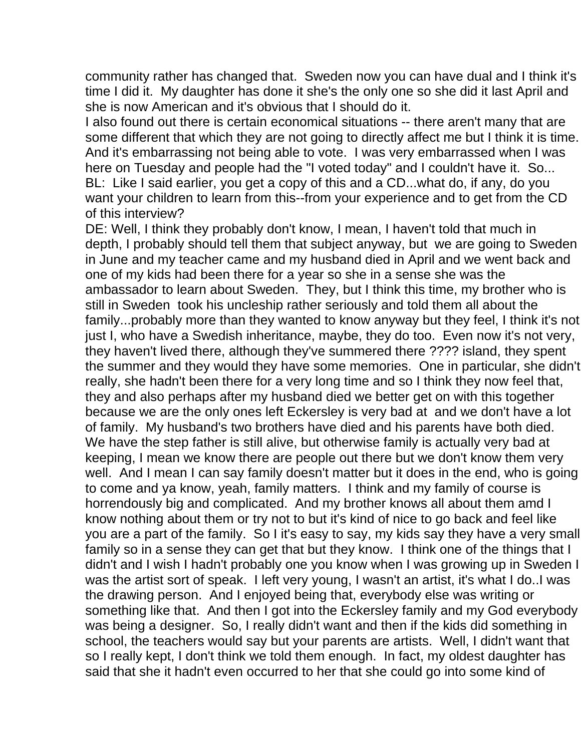community rather has changed that. Sweden now you can have dual and I think it's time I did it. My daughter has done it she's the only one so she did it last April and she is now American and it's obvious that I should do it.

I also found out there is certain economical situations -- there aren't many that are some different that which they are not going to directly affect me but I think it is time. And it's embarrassing not being able to vote. I was very embarrassed when I was here on Tuesday and people had the "I voted today" and I couldn't have it. So... BL: Like I said earlier, you get a copy of this and a CD...what do, if any, do you want your children to learn from this--from your experience and to get from the CD of this interview?

DE: Well, I think they probably don't know, I mean, I haven't told that much in depth, I probably should tell them that subject anyway, but we are going to Sweden in June and my teacher came and my husband died in April and we went back and one of my kids had been there for a year so she in a sense she was the ambassador to learn about Sweden. They, but I think this time, my brother who is still in Sweden took his uncleship rather seriously and told them all about the family...probably more than they wanted to know anyway but they feel, I think it's not just I, who have a Swedish inheritance, maybe, they do too. Even now it's not very, they haven't lived there, although they've summered there ???? island, they spent the summer and they would they have some memories. One in particular, she didn't really, she hadn't been there for a very long time and so I think they now feel that, they and also perhaps after my husband died we better get on with this together because we are the only ones left Eckersley is very bad at and we don't have a lot of family. My husband's two brothers have died and his parents have both died. We have the step father is still alive, but otherwise family is actually very bad at keeping, I mean we know there are people out there but we don't know them very well. And I mean I can say family doesn't matter but it does in the end, who is going to come and ya know, yeah, family matters. I think and my family of course is horrendously big and complicated. And my brother knows all about them amd I know nothing about them or try not to but it's kind of nice to go back and feel like you are a part of the family. So I it's easy to say, my kids say they have a very small family so in a sense they can get that but they know. I think one of the things that I didn't and I wish I hadn't probably one you know when I was growing up in Sweden I was the artist sort of speak. I left very young, I wasn't an artist, it's what I do..I was the drawing person. And I enjoyed being that, everybody else was writing or something like that. And then I got into the Eckersley family and my God everybody was being a designer. So, I really didn't want and then if the kids did something in school, the teachers would say but your parents are artists. Well, I didn't want that so I really kept, I don't think we told them enough. In fact, my oldest daughter has said that she it hadn't even occurred to her that she could go into some kind of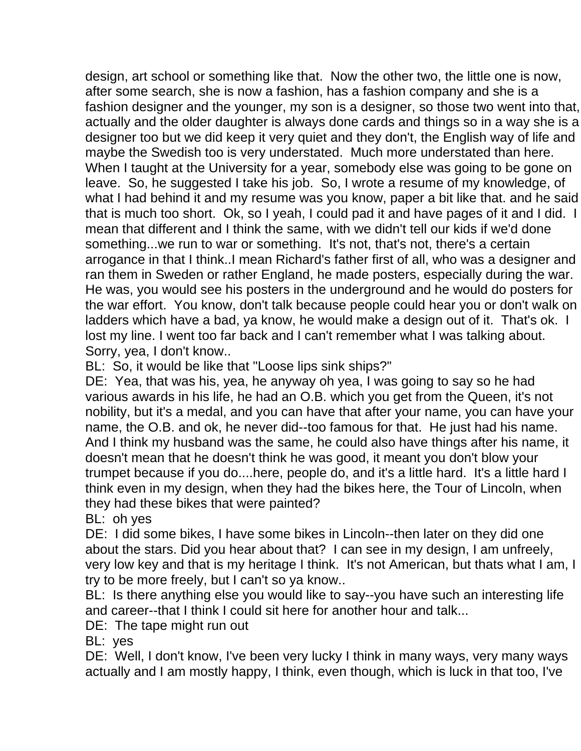design, art school or something like that. Now the other two, the little one is now, after some search, she is now a fashion, has a fashion company and she is a fashion designer and the younger, my son is a designer, so those two went into that, actually and the older daughter is always done cards and things so in a way she is a designer too but we did keep it very quiet and they don't, the English way of life and maybe the Swedish too is very understated. Much more understated than here. When I taught at the University for a year, somebody else was going to be gone on leave. So, he suggested I take his job. So, I wrote a resume of my knowledge, of what I had behind it and my resume was you know, paper a bit like that. and he said that is much too short. Ok, so I yeah, I could pad it and have pages of it and I did. I mean that different and I think the same, with we didn't tell our kids if we'd done something...we run to war or something. It's not, that's not, there's a certain arrogance in that I think..I mean Richard's father first of all, who was a designer and ran them in Sweden or rather England, he made posters, especially during the war. He was, you would see his posters in the underground and he would do posters for the war effort. You know, don't talk because people could hear you or don't walk on ladders which have a bad, ya know, he would make a design out of it. That's ok. I lost my line. I went too far back and I can't remember what I was talking about. Sorry, yea, I don't know..

BL: So, it would be like that "Loose lips sink ships?"

DE: Yea, that was his, yea, he anyway oh yea, I was going to say so he had various awards in his life, he had an O.B. which you get from the Queen, it's not nobility, but it's a medal, and you can have that after your name, you can have your name, the O.B. and ok, he never did--too famous for that. He just had his name. And I think my husband was the same, he could also have things after his name, it doesn't mean that he doesn't think he was good, it meant you don't blow your trumpet because if you do....here, people do, and it's a little hard. It's a little hard I think even in my design, when they had the bikes here, the Tour of Lincoln, when they had these bikes that were painted?

BL: oh yes

DE: I did some bikes, I have some bikes in Lincoln--then later on they did one about the stars. Did you hear about that? I can see in my design, I am unfreely, very low key and that is my heritage I think. It's not American, but thats what I am, I try to be more freely, but I can't so ya know..

BL: Is there anything else you would like to say--you have such an interesting life and career--that I think I could sit here for another hour and talk...

DE: The tape might run out

BL: yes

DE: Well, I don't know, I've been very lucky I think in many ways, very many ways actually and I am mostly happy, I think, even though, which is luck in that too, I've